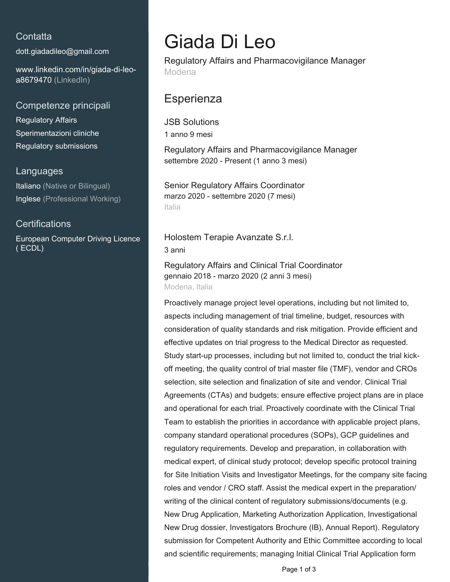### **Contatta**

[dott.giadadileo@gmail.com](mailto:dott.giadadileo@gmail.com)

[www.linkedin.com/in/giada-di-leo](https://www.linkedin.com/in/giada-di-leo-a8679470?jobid=1234&lipi=urn%3Ali%3Apage%3Ad_jobs_easyapply_pdfgenresume%3BnXagXKKnQWaBQYsJ6EoTUA%3D%3D&licu=urn%3Ali%3Acontrol%3Ad_jobs_easyapply_pdfgenresume-v02_profile)[a8679470 \(LinkedIn\)](https://www.linkedin.com/in/giada-di-leo-a8679470?jobid=1234&lipi=urn%3Ali%3Apage%3Ad_jobs_easyapply_pdfgenresume%3BnXagXKKnQWaBQYsJ6EoTUA%3D%3D&licu=urn%3Ali%3Acontrol%3Ad_jobs_easyapply_pdfgenresume-v02_profile)

Competenze principali

Regulatory Affairs Sperimentazioni cliniche Regulatory submissions

#### Languages

Italiano (Native or Bilingual) Inglese (Professional Working)

### **Certifications**

European Computer Driving Licence ( ECDL)

# Giada Di Leo

Regulatory Affairs and Pharmacovigilance Manager Modena

## **Esperienza**

JSB Solutions 1 anno 9 mesi

Regulatory Affairs and Pharmacovigilance Manager settembre 2020 - Present (1 anno 3 mesi)

Senior Regulatory Affairs Coordinator marzo 2020 - settembre 2020 (7 mesi) Italia

Holostem Terapie Avanzate S.r.l. 3 anni

Regulatory Affairs and Clinical Trial Coordinator gennaio 2018 - marzo 2020 (2 anni 3 mesi) Modena, Italia

Proactively manage project level operations, including but not limited to, aspects including management of trial timeline, budget, resources with consideration of quality standards and risk mitigation. Provide efficient and effective updates on trial progress to the Medical Director as requested. Study start-up processes, including but not limited to, conduct the trial kickoff meeting, the quality control of trial master file (TMF), vendor and CROs selection, site selection and finalization of site and vendor. Clinical Trial Agreements (CTAs) and budgets; ensure effective project plans are in place and operational for each trial. Proactively coordinate with the Clinical Trial Team to establish the priorities in accordance with applicable project plans, company standard operational procedures (SOPs), GCP guidelines and regulatory requirements. Develop and preparation, in collaboration with medical expert, of clinical study protocol; develop specific protocol training for Site Initiation Visits and Investigator Meetings, for the company site facing roles and vendor / CRO staff. Assist the medical expert in the preparation/ writing of the clinical content of regulatory submissions/documents (e.g. New Drug Application, Marketing Authorization Application, Investigational New Drug dossier, Investigators Brochure (IB), Annual Report). Regulatory submission for Competent Authority and Ethic Committee according to local and scientific requirements; managing Initial Clinical Trial Application form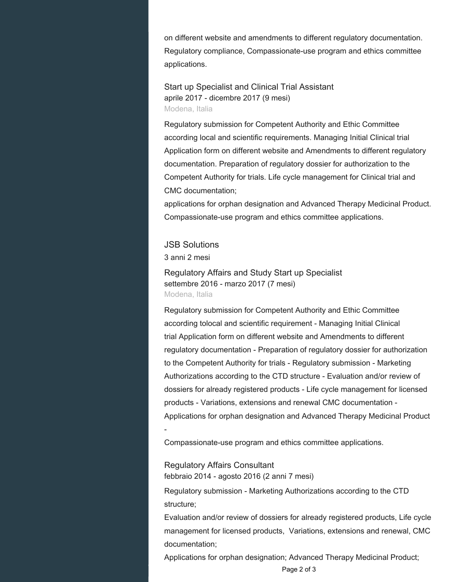on different website and amendments to different regulatory documentation. Regulatory compliance, Compassionate-use program and ethics committee applications.

Start up Specialist and Clinical Trial Assistant aprile 2017 - dicembre 2017 (9 mesi) Modena, Italia

Regulatory submission for Competent Authority and Ethic Committee according local and scientific requirements. Managing Initial Clinical trial Application form on different website and Amendments to different regulatory documentation. Preparation of regulatory dossier for authorization to the Competent Authority for trials. Life cycle management for Clinical trial and CMC documentation;

applications for orphan designation and Advanced Therapy Medicinal Product. Compassionate-use program and ethics committee applications.

JSB Solutions 3 anni 2 mesi

-

Regulatory Affairs and Study Start up Specialist settembre 2016 - marzo 2017 (7 mesi) Modena, Italia

Regulatory submission for Competent Authority and Ethic Committee according tolocal and scientific requirement - Managing Initial Clinical trial Application form on different website and Amendments to different regulatory documentation - Preparation of regulatory dossier for authorization to the Competent Authority for trials - Regulatory submission - Marketing Authorizations according to the CTD structure - Evaluation and/or review of dossiers for already registered products - Life cycle management for licensed products - Variations, extensions and renewal CMC documentation - Applications for orphan designation and Advanced Therapy Medicinal Product

Compassionate-use program and ethics committee applications.

Regulatory Affairs Consultant febbraio 2014 - agosto 2016 (2 anni 7 mesi)

Regulatory submission - Marketing Authorizations according to the CTD structure;

Evaluation and/or review of dossiers for already registered products, Life cycle management for licensed products, Variations, extensions and renewal, CMC documentation;

Applications for orphan designation; Advanced Therapy Medicinal Product;